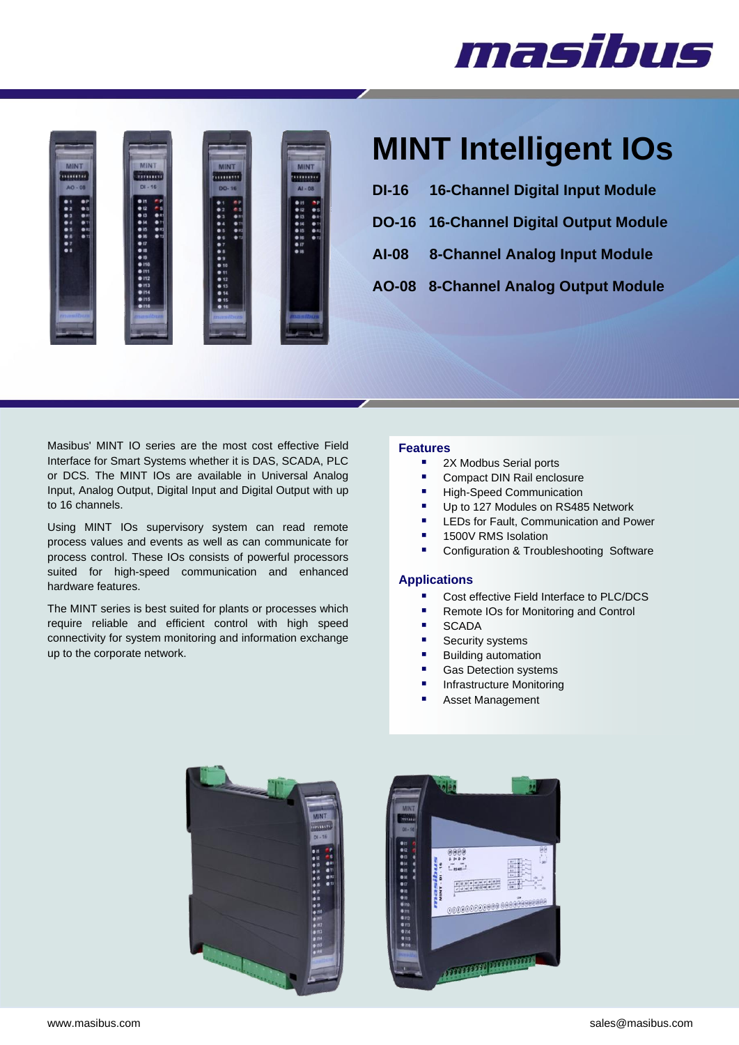# masibus



## **MINT Intelligent IOs**

- **DI-16 16-Channel Digital Input Module**
- **DO-16 16-Channel Digital Output Module**
- **AI-08 8-Channel Analog Input Module**
- **AO-08 8-Channel Analog Output Module**

Masibus' MINT IO series are the most cost effective Field Interface for Smart Systems whether it is DAS, SCADA, PLC or DCS. The MINT IOs are available in Universal Analog Input, Analog Output, Digital Input and Digital Output with up to 16 channels.

Using MINT IOs supervisory system can read remote process values and events as well as can communicate for process control. These IOs consists of powerful processors suited for high-speed communication and enhanced hardware features.

The MINT series is best suited for plants or processes which require reliable and efficient control with high speed connectivity for system monitoring and information exchange up to the corporate network.

#### **Features**

- 2X Modbus Serial ports
- Compact DIN Rail enclosure
- High-Speed Communication
- Up to 127 Modules on RS485 Network
- LEDs for Fault, Communication and Power
- 1500V RMS Isolation
- Configuration & Troubleshooting Software

#### **Applications**

- Cost effective Field Interface to PLC/DCS
- Remote IOs for Monitoring and Control
- **SCADA**
- **Security systems**
- Building automation
- Gas Detection systems
- Infrastructure Monitoring
- Asset Management